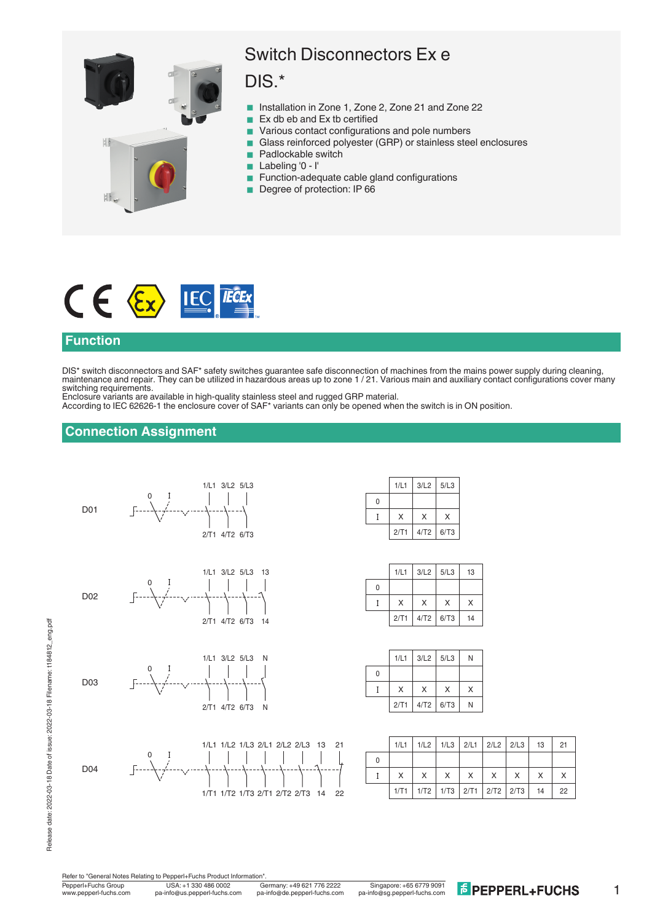

# Switch Disconnectors Ex e

# DIS.\*

- Installation in Zone 1, Zone 2, Zone 21 and Zone 22
- $\blacksquare$  Ex db eb and Ex tb certified
- Various contact configurations and pole numbers
- Glass reinforced polyester (GRP) or stainless steel enclosures
	- Padlockable switch
- Labeling '0 I'
- Function-adequate cable gland configurations
- Degree of protection: IP 66



#### **Function**

DIS\* switch disconnectors and SAF\* safety switches guarantee safe disconnection of machines from the mains power supply during cleaning, maintenance and repair. They can be utilized in hazardous areas up to zone 1 / 21. Various main and auxiliary contact configurations cover many switching requirements.

Enclosure variants are available in high-quality stainless steel and rugged GRP material. According to IEC 62626-1 the enclosure cover of SAF\* variants can only be opened when the switch is in ON position.

### **Connection Assignment**



|   | 1/L1 | 3/L2 | 5/L3 |
|---|------|------|------|
| O |      |      |      |
|   | X    | X    | X    |
|   | 2/T1 | 4/T2 | 6/T3 |

|   | 1/L1 | 3/L2 | 5/L3 | 13 |
|---|------|------|------|----|
| 0 |      |      |      |    |
|   | X    | X    | X    | X  |
|   | 2/T1 | 4/T2 | 6/T3 | 14 |

|   | 1/L1 | $3/L2$ 5/L3 |   | N |
|---|------|-------------|---|---|
| 0 |      |             |   |   |
|   | X    | X           | X | X |
|   | 2/T1 | $4/T2$ 6/T3 |   | N |

|   |   | $1/L1$   $1/L2$   $1/L3$   $2/L1$   $2/L2$   $2/L3$   13 |          |   |              |          | 21 |
|---|---|----------------------------------------------------------|----------|---|--------------|----------|----|
| 0 |   |                                                          |          |   |              |          |    |
|   | X | $\times$                                                 | $\times$ | X | $\mathsf{X}$ | $\times$ |    |
|   |   | $1/T1$   $1/T2$   $1/T3$   $2/T1$   $2/T2$   $2/T3$   14 |          |   |              |          | 22 |

14 22

21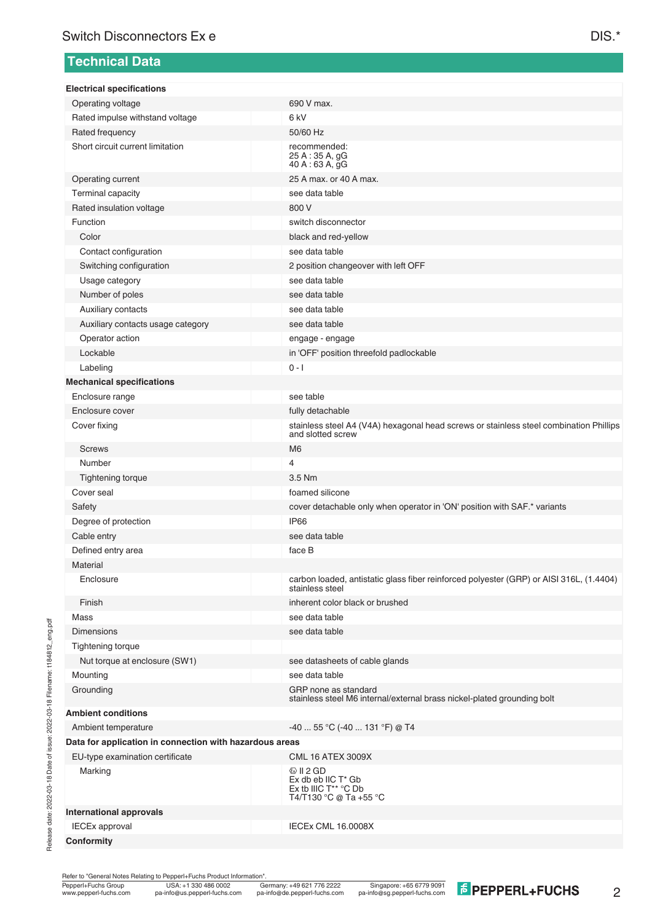### **Technical Data**

| <b>Electrical specifications</b>                        |                                                                                                             |
|---------------------------------------------------------|-------------------------------------------------------------------------------------------------------------|
| Operating voltage                                       | 690 V max.                                                                                                  |
| Rated impulse withstand voltage                         | 6 <sub>kV</sub>                                                                                             |
| Rated frequency                                         | 50/60 Hz                                                                                                    |
| Short circuit current limitation                        | recommended:<br>25 A: 35 A, gG<br>40 A : 63 A, gG                                                           |
| Operating current                                       | 25 A max. or 40 A max.                                                                                      |
| Terminal capacity                                       | see data table                                                                                              |
| Rated insulation voltage                                | 800 V                                                                                                       |
| Function                                                | switch disconnector                                                                                         |
| Color                                                   | black and red-yellow                                                                                        |
| Contact configuration                                   | see data table                                                                                              |
| Switching configuration                                 | 2 position changeover with left OFF                                                                         |
| Usage category                                          | see data table                                                                                              |
| Number of poles                                         | see data table                                                                                              |
| Auxiliary contacts                                      | see data table                                                                                              |
| Auxiliary contacts usage category                       | see data table                                                                                              |
| Operator action                                         | engage - engage                                                                                             |
| Lockable                                                | in 'OFF' position threefold padlockable                                                                     |
| Labeling                                                | $0 - 1$                                                                                                     |
| <b>Mechanical specifications</b>                        |                                                                                                             |
| Enclosure range                                         | see table                                                                                                   |
| Enclosure cover                                         | fully detachable                                                                                            |
| Cover fixing                                            | stainless steel A4 (V4A) hexagonal head screws or stainless steel combination Phillips<br>and slotted screw |
| <b>Screws</b>                                           | M <sub>6</sub>                                                                                              |
| Number                                                  | 4                                                                                                           |
| Tightening torque                                       | 3.5 Nm                                                                                                      |
| Cover seal                                              | foamed silicone                                                                                             |
| Safety                                                  | cover detachable only when operator in 'ON' position with SAF.* variants                                    |
| Degree of protection                                    | <b>IP66</b>                                                                                                 |
| Cable entry                                             | see data table                                                                                              |
| Defined entry area                                      | face B                                                                                                      |
| Material                                                |                                                                                                             |
| Enclosure                                               | carbon loaded, antistatic glass fiber reinforced polyester (GRP) or AISI 316L, (1.4404)<br>stainless steel  |
| Finish                                                  | inherent color black or brushed                                                                             |
| Mass                                                    | see data table                                                                                              |
| <b>Dimensions</b>                                       | see data table                                                                                              |
| Tightening torque                                       |                                                                                                             |
| Nut torque at enclosure (SW1)                           | see datasheets of cable glands                                                                              |
| Mounting                                                | see data table                                                                                              |
| Grounding                                               | GRP none as standard<br>stainless steel M6 internal/external brass nickel-plated grounding bolt             |
| <b>Ambient conditions</b>                               |                                                                                                             |
| Ambient temperature                                     | $-4055$ °C ( $-40131$ °F) @ T4                                                                              |
| Data for application in connection with hazardous areas |                                                                                                             |
| EU-type examination certificate                         | <b>CML 16 ATEX 3009X</b>                                                                                    |
| Marking                                                 | $\circledcirc$ II 2 GD<br>Ex db eb IIC T* Gb<br>Ex tb IIIC T <sup>**</sup> °C Db<br>T4/T130 °C @ Ta +55 °C  |
| <b>International approvals</b>                          |                                                                                                             |
| <b>IECEx approval</b>                                   | <b>IECEx CML 16.0008X</b>                                                                                   |
| Conformity                                              |                                                                                                             |

Release date: 2022-03-18 Date of issue: 2022-03-18 Filename: t184812\_eng.pdf

Release date: 2022-03-18 Date of issue: 2022-03-18 Filename: t184812\_eng.pdf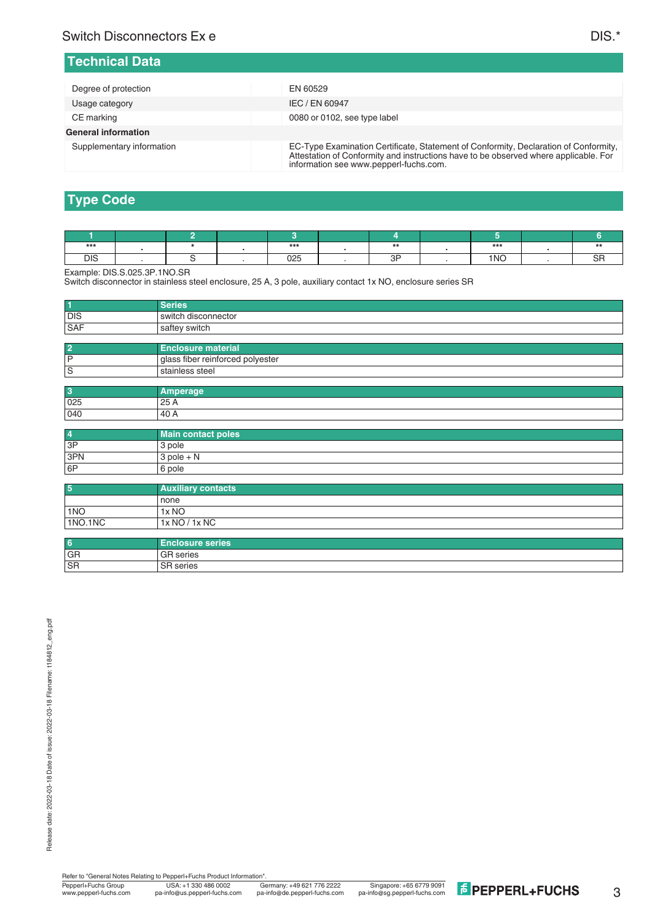#### **Technical Data**

| Degree of protection       | EN 60529                                                                                                                                                                                                               |
|----------------------------|------------------------------------------------------------------------------------------------------------------------------------------------------------------------------------------------------------------------|
| Usage category             | IEC / EN 60947                                                                                                                                                                                                         |
| CE marking                 | 0080 or 0102, see type label                                                                                                                                                                                           |
| <b>General information</b> |                                                                                                                                                                                                                        |
| Supplementary information  | EC-Type Examination Certificate, Statement of Conformity, Declaration of Conformity,<br>Attestation of Conformity and instructions have to be observed where applicable. For<br>information see www.pepperl-fuchs.com. |

# **Type Code**

| ***        |  | ***           | $\overline{\phantom{a}}$ | ***             |  |
|------------|--|---------------|--------------------------|-----------------|--|
| <b>DIS</b> |  | $\sim$<br>◡▵◡ | ז ר                      | 1 <sub>NO</sub> |  |

Example: DIS.S.025.3P.1NO.SR

Switch disconnector in stainless steel enclosure, 25 A, 3 pole, auxiliary contact 1x NO, enclosure series SR

| $\vert$ 1  |                       |
|------------|-----------------------|
| <b>DIS</b> | l switch disconnector |
| SAF        | saftey switch         |
|            |                       |

| l P<br>I glass fiber reinforced polyester |  |
|-------------------------------------------|--|
| ١s<br>stainless steel                     |  |

| $\overline{\mathbf{3}}$ | ----- |
|-------------------------|-------|
| 025                     | 25 A  |
| 040                     | .40 A |

| $\overline{4}$ | Main contact poles |
|----------------|--------------------|
| 3P             | 3 pole             |
| 3PN            | $3$ pole + N       |
| 6P             | 6 pole             |

| 5       | <b>Auxiliary contacts</b> |
|---------|---------------------------|
|         | l none                    |
| 1NO     | 1x NO                     |
| 1NO.1NC | 1x NO / 1x NC             |

| 6         | Enclosure series <b>b</b> |
|-----------|---------------------------|
| GR        | <b>GR</b> series          |
| <b>SR</b> | <b>SR</b> series          |

3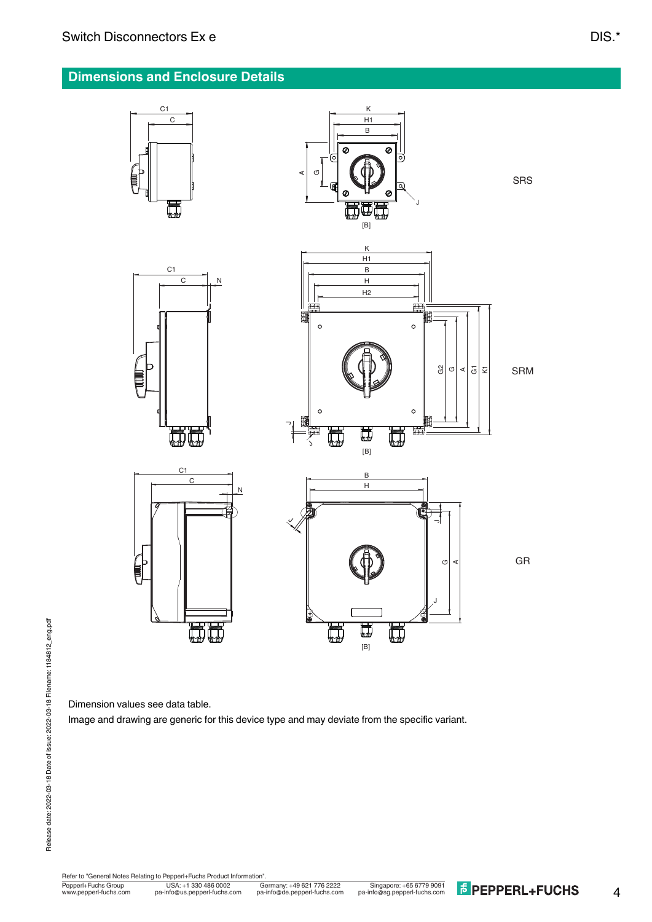## **Dimensions and Enclosure Details**



Dimension values see data table.

Image and drawing are generic for this device type and may deviate from the specific variant.

Fepperl+Fuchs Group<br>www.pepperl-fuchs.com pa-info@us.pepperl-fuchs.com pa-info@de.pepperl-fuchs.com pa-info@sg.pepperl-fuchs.com **FePPERL+FUCHS** Refer to "General Notes Relating to Pepperl+Fuchs Product Information USA: +1 330 486 0002 Singapore: +65 6779 9091 www.pepperl-fuchs.com pa-info@us.pepperl-fuchs.com pa-info@sg.pepperl-fuchs.com pa-info@de.pepperl-fuchs.com

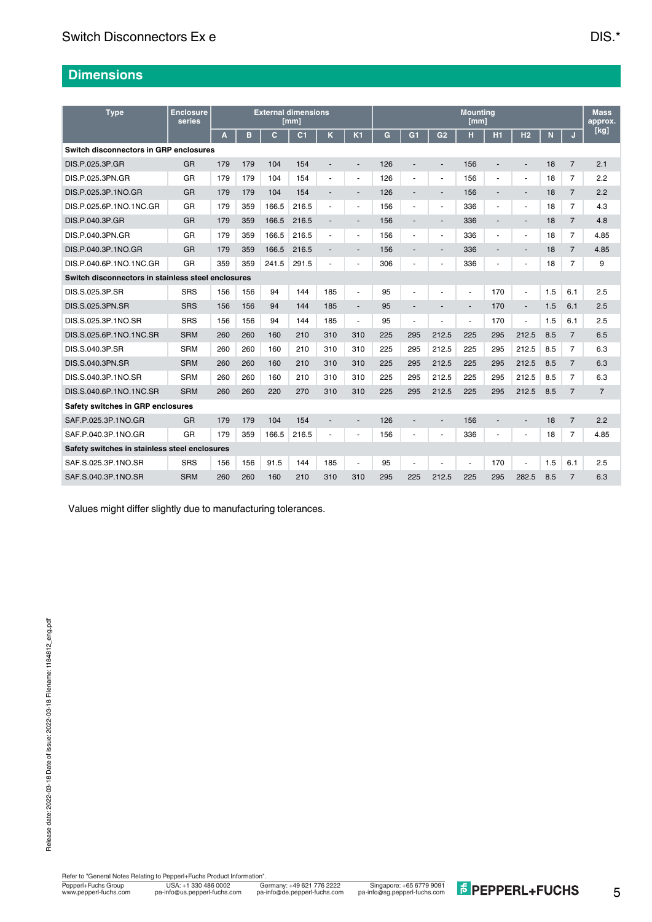## **Dimensions**

| <b>Type</b>                                        | <b>Enclosure</b><br>series | <b>External dimensions</b><br>[mm] |     |       |                | <b>Mounting</b><br>[mm]  |                          |     |                          |                          |                | <b>Mass</b><br>approx.   |                          |     |                |                |
|----------------------------------------------------|----------------------------|------------------------------------|-----|-------|----------------|--------------------------|--------------------------|-----|--------------------------|--------------------------|----------------|--------------------------|--------------------------|-----|----------------|----------------|
|                                                    |                            | A                                  | в   | C     | C <sub>1</sub> | ĸ                        | K <sub>1</sub>           | G   | G <sub>1</sub>           | G <sub>2</sub>           | н              | H1                       | H <sub>2</sub>           | N   | J              | [kg]           |
| Switch disconnectors in GRP enclosures             |                            |                                    |     |       |                |                          |                          |     |                          |                          |                |                          |                          |     |                |                |
| DIS.P.025.3P.GR                                    | <b>GR</b>                  | 179                                | 179 | 104   | 154            | $\overline{\phantom{a}}$ | $\overline{\phantom{a}}$ | 126 | $\overline{\phantom{a}}$ | $\overline{a}$           | 156            | $\overline{\phantom{a}}$ | $\overline{\phantom{a}}$ | 18  | $\overline{7}$ | 2.1            |
| DIS.P.025.3PN.GR                                   | GR                         | 179                                | 179 | 104   | 154            | ÷                        |                          | 126 | $\overline{\phantom{a}}$ |                          | 156            | $\overline{\phantom{a}}$ | $\overline{\phantom{a}}$ | 18  | $\overline{7}$ | 2.2            |
| DIS.P.025.3P.1NO.GR                                | <b>GR</b>                  | 179                                | 179 | 104   | 154            |                          |                          | 126 |                          |                          | 156            |                          |                          | 18  | $\overline{7}$ | 2.2            |
| DIS.P.025.6P.1NO.1NC.GR                            | GR                         | 179                                | 359 | 166.5 | 216.5          | $\blacksquare$           | $\blacksquare$           | 156 | $\blacksquare$           | $\overline{\phantom{a}}$ | 336            | $\sim$                   | $\sim$                   | 18  | $\overline{7}$ | 4.3            |
| DIS.P.040.3P.GR                                    | GR                         | 179                                | 359 | 166.5 | 216.5          | $\overline{a}$           | $\overline{\phantom{a}}$ | 156 | $\blacksquare$           | $\overline{\phantom{a}}$ | 336            | $\overline{\phantom{a}}$ | $\overline{\phantom{a}}$ | 18  | $\overline{7}$ | 4.8            |
| DIS.P.040.3PN.GR                                   | GR                         | 179                                | 359 | 166.5 | 216.5          | ٠                        | ä,                       | 156 | $\blacksquare$           | $\overline{\phantom{a}}$ | 336            | $\blacksquare$           | $\blacksquare$           | 18  | $\overline{7}$ | 4.85           |
| DIS.P.040.3P.1NO.GR                                | GR                         | 179                                | 359 | 166.5 | 216.5          |                          |                          | 156 |                          |                          | 336            |                          |                          | 18  | $\overline{7}$ | 4.85           |
| DIS.P.040.6P.1NO.1NC.GR                            | <b>GR</b>                  | 359                                | 359 | 241.5 | 291.5          |                          |                          | 306 |                          |                          | 336            | $\overline{\phantom{a}}$ |                          | 18  | $\overline{7}$ | 9              |
| Switch disconnectors in stainless steel enclosures |                            |                                    |     |       |                |                          |                          |     |                          |                          |                |                          |                          |     |                |                |
| DIS.S.025.3P.SR                                    | <b>SRS</b>                 | 156                                | 156 | 94    | 144            | 185                      | ä,                       | 95  | $\blacksquare$           |                          | $\blacksquare$ | 170                      | $\blacksquare$           | 1.5 | 6.1            | 2.5            |
| DIS.S.025.3PN.SR                                   | <b>SRS</b>                 | 156                                | 156 | 94    | 144            | 185                      | $\overline{a}$           | 95  |                          |                          | $\blacksquare$ | 170                      | $\overline{\phantom{a}}$ | 1.5 | 6.1            | 2.5            |
| DIS.S.025.3P.1NO.SR                                | <b>SRS</b>                 | 156                                | 156 | 94    | 144            | 185                      | $\overline{\phantom{a}}$ | 95  | $\blacksquare$           |                          |                | 170                      | $\overline{\phantom{a}}$ | 1.5 | 6.1            | 2.5            |
| DIS.S.025.6P.1NO.1NC.SR                            | <b>SRM</b>                 | 260                                | 260 | 160   | 210            | 310                      | 310                      | 225 | 295                      | 212.5                    | 225            | 295                      | 212.5                    | 8.5 | $\overline{7}$ | 6.5            |
| DIS.S.040.3P.SR                                    | <b>SRM</b>                 | 260                                | 260 | 160   | 210            | 310                      | 310                      | 225 | 295                      | 212.5                    | 225            | 295                      | 212.5                    | 8.5 | $\overline{7}$ | 6.3            |
| DIS.S.040.3PN.SR                                   | <b>SRM</b>                 | 260                                | 260 | 160   | 210            | 310                      | 310                      | 225 | 295                      | 212.5                    | 225            | 295                      | 212.5                    | 8.5 | $\overline{7}$ | 6.3            |
| DIS.S.040.3P.1NO.SR                                | <b>SRM</b>                 | 260                                | 260 | 160   | 210            | 310                      | 310                      | 225 | 295                      | 212.5                    | 225            | 295                      | 212.5                    | 8.5 | $\overline{7}$ | 6.3            |
| DIS.S.040.6P.1NO.1NC.SR                            | <b>SRM</b>                 | 260                                | 260 | 220   | 270            | 310                      | 310                      | 225 | 295                      | 212.5                    | 225            | 295                      | 212.5                    | 8.5 | $\overline{7}$ | $\overline{7}$ |
| Safety switches in GRP enclosures                  |                            |                                    |     |       |                |                          |                          |     |                          |                          |                |                          |                          |     |                |                |
| SAF.P.025.3P.1NO.GR                                | GR                         | 179                                | 179 | 104   | 154            | ۰                        | $\overline{a}$           | 126 | $\overline{\phantom{a}}$ |                          | 156            | $\overline{\phantom{a}}$ | $\overline{\phantom{a}}$ | 18  | $\overline{7}$ | 2.2            |
| SAF.P.040.3P.1NO.GR                                | <b>GR</b>                  | 179                                | 359 | 166.5 | 216.5          |                          |                          | 156 |                          |                          | 336            | $\blacksquare$           |                          | 18  | $\overline{7}$ | 4.85           |
| Safety switches in stainless steel enclosures      |                            |                                    |     |       |                |                          |                          |     |                          |                          |                |                          |                          |     |                |                |
| SAF.S.025.3P.1NO.SR                                | <b>SRS</b>                 | 156                                | 156 | 91.5  | 144            | 185                      |                          | 95  |                          |                          |                | 170                      |                          | 1.5 | 6.1            | 2.5            |
| SAF.S.040.3P.1NO.SR                                | <b>SRM</b>                 | 260                                | 260 | 160   | 210            | 310                      | 310                      | 295 | 225                      | 212.5                    | 225            | 295                      | 282.5                    | 8.5 | $\overline{7}$ | 6.3            |

Values might differ slightly due to manufacturing tolerances.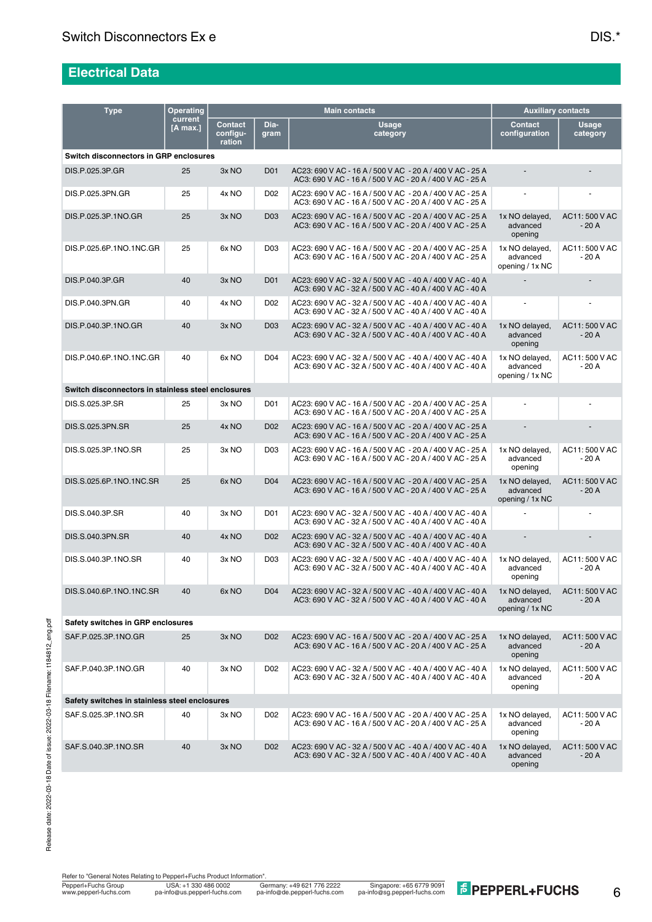# **Electrical Data**

| <b>Type</b>                                        | <b>Operating</b>    |                                      |                 | <b>Main contacts</b>                                                                                                  | <b>Auxiliary contacts</b>                     |                          |  |  |  |  |  |  |
|----------------------------------------------------|---------------------|--------------------------------------|-----------------|-----------------------------------------------------------------------------------------------------------------------|-----------------------------------------------|--------------------------|--|--|--|--|--|--|
|                                                    | current<br>[A max.] | <b>Contact</b><br>configu-<br>ration | Dia-<br>gram    | <b>Usage</b><br>category                                                                                              | <b>Contact</b><br>configuration               | Usage<br>category        |  |  |  |  |  |  |
| <b>Switch disconnectors in GRP enclosures</b>      |                     |                                      |                 |                                                                                                                       |                                               |                          |  |  |  |  |  |  |
| DIS.P.025.3P.GR                                    | 25                  | 3x NO                                | D01             | AC23: 690 V AC - 16 A / 500 V AC - 20 A / 400 V AC - 25 A<br>AC3: 690 V AC - 16 A / 500 V AC - 20 A / 400 V AC - 25 A |                                               |                          |  |  |  |  |  |  |
| DIS.P.025.3PN.GR                                   | 25                  | 4x NO                                | D <sub>02</sub> | AC23: 690 V AC - 16 A / 500 V AC - 20 A / 400 V AC - 25 A<br>AC3: 690 V AC - 16 A / 500 V AC - 20 A / 400 V AC - 25 A |                                               |                          |  |  |  |  |  |  |
| DIS.P.025.3P.1NO.GR                                | 25                  | 3x NO                                | D <sub>03</sub> | AC23: 690 V AC - 16 A / 500 V AC - 20 A / 400 V AC - 25 A<br>AC3: 690 V AC - 16 A / 500 V AC - 20 A / 400 V AC - 25 A | 1x NO delayed,<br>advanced<br>opening         | AC11:500 V AC<br>$-20A$  |  |  |  |  |  |  |
| DIS.P.025.6P.1NO.1NC.GR                            | 25                  | 6x NO                                | D <sub>03</sub> | AC23: 690 V AC - 16 A / 500 V AC - 20 A / 400 V AC - 25 A<br>AC3: 690 V AC - 16 A / 500 V AC - 20 A / 400 V AC - 25 A | 1x NO delayed,<br>advanced<br>opening / 1x NC | AC11:500 V AC<br>$-20A$  |  |  |  |  |  |  |
| DIS.P.040.3P.GR                                    | 40                  | 3x NO                                | <b>D01</b>      | AC23: 690 V AC - 32 A / 500 V AC - 40 A / 400 V AC - 40 A<br>AC3: 690 V AC - 32 A / 500 V AC - 40 A / 400 V AC - 40 A |                                               |                          |  |  |  |  |  |  |
| DIS.P.040.3PN.GR                                   | 40                  | 4x NO                                | D02             | AC23: 690 V AC - 32 A / 500 V AC - 40 A / 400 V AC - 40 A<br>AC3: 690 V AC - 32 A / 500 V AC - 40 A / 400 V AC - 40 A |                                               | $\overline{\phantom{a}}$ |  |  |  |  |  |  |
| DIS.P.040.3P.1NO.GR                                | 40                  | 3x NO                                | <b>D03</b>      | AC23: 690 V AC - 32 A / 500 V AC - 40 A / 400 V AC - 40 A<br>AC3: 690 V AC - 32 A / 500 V AC - 40 A / 400 V AC - 40 A | 1x NO delayed,<br>advanced<br>opening         | AC11:500 V AC<br>$-20A$  |  |  |  |  |  |  |
| DIS.P.040.6P.1NO.1NC.GR                            | 40                  | 6x NO                                | D <sub>04</sub> | AC23: 690 V AC - 32 A / 500 V AC - 40 A / 400 V AC - 40 A<br>AC3: 690 V AC - 32 A / 500 V AC - 40 A / 400 V AC - 40 A | 1x NO delayed,<br>advanced<br>opening / 1x NC | AC11: 500 V AC<br>$-20A$ |  |  |  |  |  |  |
| Switch disconnectors in stainless steel enclosures |                     |                                      |                 |                                                                                                                       |                                               |                          |  |  |  |  |  |  |
| DIS.S.025.3P.SR                                    | 25                  | 3x NO                                | D01             | AC23: 690 V AC - 16 A / 500 V AC - 20 A / 400 V AC - 25 A<br>AC3: 690 V AC - 16 A / 500 V AC - 20 A / 400 V AC - 25 A |                                               |                          |  |  |  |  |  |  |
| DIS.S.025.3PN.SR                                   | 25                  | 4x NO                                | D <sub>02</sub> | AC23: 690 V AC - 16 A / 500 V AC - 20 A / 400 V AC - 25 A<br>AC3: 690 V AC - 16 A / 500 V AC - 20 A / 400 V AC - 25 A |                                               |                          |  |  |  |  |  |  |
| DIS.S.025.3P.1NO.SR                                | 25                  | 3x NO                                | D <sub>03</sub> | AC23: 690 V AC - 16 A / 500 V AC - 20 A / 400 V AC - 25 A<br>AC3: 690 V AC - 16 A / 500 V AC - 20 A / 400 V AC - 25 A | 1x NO delayed,<br>advanced<br>opening         | AC11: 500 V AC<br>$-20A$ |  |  |  |  |  |  |
| DIS.S.025.6P.1NO.1NC.SR                            | 25                  | 6x <sub>NO</sub>                     | D04             | AC23: 690 V AC - 16 A / 500 V AC - 20 A / 400 V AC - 25 A<br>AC3: 690 V AC - 16 A / 500 V AC - 20 A / 400 V AC - 25 A | 1x NO delayed,<br>advanced<br>opening / 1x NC | AC11:500 V AC<br>$-20A$  |  |  |  |  |  |  |
| DIS.S.040.3P.SR                                    | 40                  | 3x NO                                | D01             | AC23: 690 V AC - 32 A / 500 V AC - 40 A / 400 V AC - 40 A<br>AC3: 690 V AC - 32 A / 500 V AC - 40 A / 400 V AC - 40 A |                                               |                          |  |  |  |  |  |  |
| DIS.S.040.3PN.SR                                   | 40                  | 4x NO                                | D <sub>02</sub> | AC23: 690 V AC - 32 A / 500 V AC - 40 A / 400 V AC - 40 A<br>AC3: 690 V AC - 32 A / 500 V AC - 40 A / 400 V AC - 40 A | $\overline{a}$                                |                          |  |  |  |  |  |  |
| DIS.S.040.3P.1NO.SR                                | 40                  | 3x NO                                | D <sub>03</sub> | AC23: 690 V AC - 32 A / 500 V AC - 40 A / 400 V AC - 40 A<br>AC3: 690 V AC - 32 A / 500 V AC - 40 A / 400 V AC - 40 A | 1x NO delayed,<br>advanced<br>opening         | AC11:500 V AC<br>$-20A$  |  |  |  |  |  |  |
| DIS.S.040.6P.1NO.1NC.SR                            | 40                  | 6x NO                                | D <sub>04</sub> | AC23: 690 V AC - 32 A / 500 V AC - 40 A / 400 V AC - 40 A<br>AC3: 690 V AC - 32 A / 500 V AC - 40 A / 400 V AC - 40 A | 1x NO delayed,<br>advanced<br>opening / 1x NC | AC11: 500 V AC<br>$-20A$ |  |  |  |  |  |  |
| Safety switches in GRP enclosures                  |                     |                                      |                 |                                                                                                                       |                                               |                          |  |  |  |  |  |  |
| SAF.P.025.3P.1NO.GR                                | 25                  | 3x NO                                | D <sub>02</sub> | AC23: 690 V AC - 16 A / 500 V AC - 20 A / 400 V AC - 25 A<br>AC3: 690 V AC - 16 A / 500 V AC - 20 A / 400 V AC - 25 A | 1x NO delayed,<br>advanced<br>opening         | AC11: 500 V AC<br>$-20A$ |  |  |  |  |  |  |
| SAF.P.040.3P.1NO.GR                                | 40                  | 3x NO                                | D02             | AC23: 690 V AC - 32 A / 500 V AC - 40 A / 400 V AC - 40 A<br>AC3: 690 V AC - 32 A / 500 V AC - 40 A / 400 V AC - 40 A | 1x NO delayed,<br>advanced<br>opening         | AC11:500 V AC<br>$-20A$  |  |  |  |  |  |  |
| Safety switches in stainless steel enclosures      |                     |                                      |                 |                                                                                                                       |                                               |                          |  |  |  |  |  |  |
| SAF.S.025.3P.1NO.SR                                | 40                  | 3x NO                                | D02             | AC23: 690 V AC - 16 A / 500 V AC - 20 A / 400 V AC - 25 A<br>AC3: 690 V AC - 16 A / 500 V AC - 20 A / 400 V AC - 25 A | 1x NO delayed,<br>advanced<br>opening         | AC11:500 V AC<br>$-20A$  |  |  |  |  |  |  |
| SAF.S.040.3P.1NO.SR                                | 40                  | 3x NO                                | D <sub>02</sub> | AC23: 690 V AC - 32 A / 500 V AC - 40 A / 400 V AC - 40 A<br>AC3: 690 V AC - 32 A / 500 V AC - 40 A / 400 V AC - 40 A | 1x NO delayed,<br>advanced<br>opening         | AC11:500 V AC<br>$-20A$  |  |  |  |  |  |  |